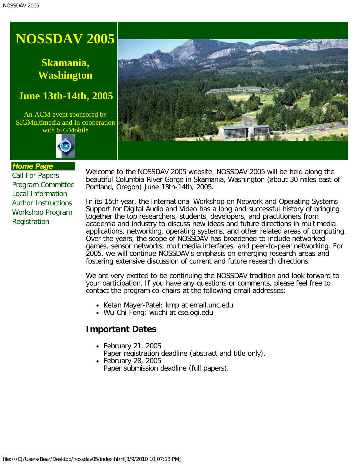# <span id="page-0-0"></span>**Skamania, Washington**

## **June 13th-14th, 2005**

An ACM event sponsored by SIGMultimedia and in cooperation with SIGMobile





#### **Home Page**

[Call For Papers](#page-1-0) [Program Committee](#page-3-0) [Local Information](#page-4-0) [Author Instructions](#page-6-0) [Workshop Program](#page-7-0) [Registration](javascript:if(confirm()

Welcome to the NOSSDAV 2005 website. NOSSDAV 2005 will be held along the beautiful Columbia River Gorge in Skamania, Washington (about 30 miles east of Portland, Oregon) June 13th-14th, 2005.

In its 15th year, the International Workshop on Network and Operating Systems Support for Digital Audio and Video has a long and successful history of bringing together the top researchers, students, developers, and practitioners from academia and industry to discuss new ideas and future directions in multimedia applications, networking, operating systems, and other related areas of computing. Over the years, the scope of NOSSDAV has broadened to include networked games, sensor networks, multimedia interfaces, and peer-to-peer networking. For 2005, we will continue NOSSDAV's emphasis on emerging research areas and fostering extensive discussion of current and future research directions.

We are very excited to be continuing the NOSSDAV tradition and look forward to your participation. If you have any questions or comments, please feel free to contact the program co-chairs at the following email addresses:

- Ketan Mayer-Patel: kmp at email.unc.edu
- Wu-Chi Feng: wuchi at cse.ogi.edu

### **Important Dates**

- February 21, 2005 Paper registration deadline (abstract and title only).
- February 28, 2005 Paper submission deadline (full papers).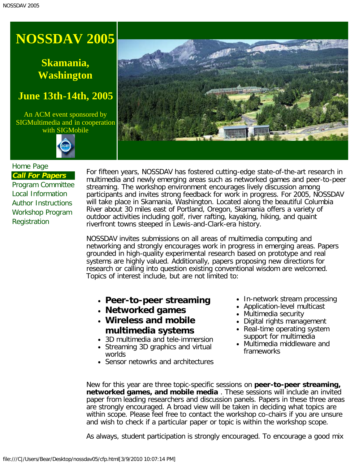# <span id="page-1-0"></span>**Skamania, Washington**

## **June 13th-14th, 2005**

An ACM event sponsored by SIGMultimedia and in cooperation with SIGMobile





#### [Home Page](#page-0-0) **Call For Papers**

[Program Committee](#page-3-0) [Local Information](#page-4-0) [Author Instructions](#page-6-0) [Workshop Program](#page-7-0) [Registration](javascript:if(confirm()

For fifteen years, NOSSDAV has fostered cutting-edge state-of-the-art research in multimedia and newly emerging areas such as networked games and peer-to-peer streaming. The workshop environment encourages lively discussion among participants and invites strong feedback for work in progress. For 2005, NOSSDAV will take place in Skamania, Washington. Located along the beautiful Columbia River about 30 miles east of Portland, Oregon, Skamania offers a variety of outdoor activities including golf, river rafting, kayaking, hiking, and quaint riverfront towns steeped in Lewis-and-Clark-era history.

NOSSDAV invites submissions on all areas of multimedia computing and networking and strongly encourages work in progress in emerging areas. Papers grounded in high-quality experimental research based on prototype and real systems are highly valued. Additionally, papers proposing new directions for research or calling into question existing conventional wisdom are welcomed. Topics of interest include, but are not limited to:

- **Peer-to-peer streaming**
- **Networked games**
- **Wireless and mobile multimedia systems**
- 3D multimedia and tele-immersion
- Streaming 3D graphics and virtual worlds
- Sensor netowrks and architectures
- In-network stream processing
- Application-level multicast
- Multimedia security
- Digital rights management
- Real-time operating system support for multimedia
- Multimedia middleware and frameworks

New for this year are three topic-specific sessions on **peer-to-peer streaming, networked games, and mobile media** . These sessions will include an invited paper from leading researchers and discussion panels. Papers in these three areas are strongly encouraged. A broad view will be taken in deciding what topics are within scope. Please feel free to contact the workshop co-chairs if you are unsure and wish to check if a particular paper or topic is within the workshop scope.

As always, student participation is strongly encouraged. To encourage a good mix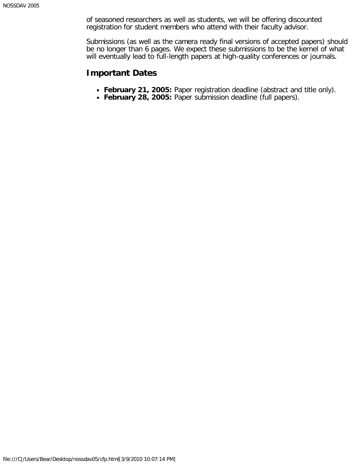of seasoned researchers as well as students, we will be offering discounted registration for student members who attend with their faculty advisor.

Submissions (as well as the camera ready final versions of accepted papers) should be no longer than 6 pages. We expect these submissions to be the kernel of what will eventually lead to full-length papers at high-quality conferences or journals.

#### **Important Dates**

- **February 21, 2005:** Paper registration deadline (abstract and title only).
- **February 28, 2005:** Paper submission deadline (full papers).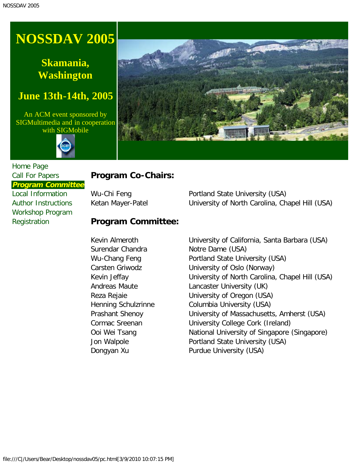# <span id="page-3-0"></span>**Skamania, Washington**

## **June 13th-14th, 2005**

An ACM event sponsored by SIGMultimedia and in cooperation with SIGMobile





#### [Home Page](#page-0-0) [Call For Papers](#page-1-0) **Program Committee**

[Local Information](#page-4-0) [Author Instructions](#page-6-0) [Workshop Program](#page-7-0) **[Registration](javascript:if(confirm()** 

### **Program Co-Chairs:**

### **Program Committee:**

Surendar Chandra Notre Dame (USA)

Wu-Chi Feng **Portland State University (USA)** Ketan Mayer-Patel **Example 20 University of North Carolina, Chapel Hill (USA)** 

Kevin Almeroth University of California, Santa Barbara (USA) Wu-Chang Feng **Portland State University (USA)** Carsten Griwodz University of Oslo (Norway) Kevin Jeffay **Example 20** University of North Carolina, Chapel Hill (USA) Andreas Maute **Lancaster University (UK)** Reza Rejaie University of Oregon (USA) Henning Schulzrinne Columbia University (USA) Prashant Shenoy University of Massachusetts, Amherst (USA) Cormac Sreenan University College Cork (Ireland) Ooi Wei Tsang **National University of Singapore (Singapore)** Jon Walpole **Portland State University (USA)** Dongyan Xu Purdue University (USA)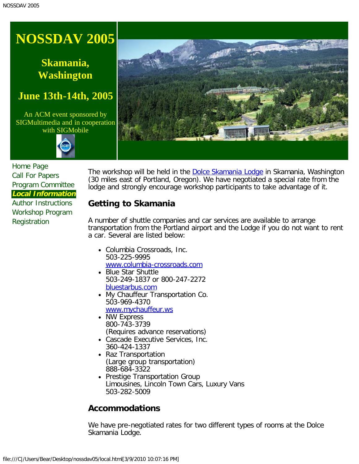# <span id="page-4-0"></span>**Skamania, Washington**

## **June 13th-14th, 2005**

An ACM event sponsored by SIGMultimedia and in cooperation with SIGMobile





[Home Page](#page-0-0) [Call For Papers](#page-1-0) [Program Committee](#page-3-0) **Local Information**

[Author Instructions](#page-6-0) [Workshop Program](#page-7-0) [Registration](javascript:if(confirm()

The workshop will be held in the **[Dolce Skamania Lodge](javascript:if(confirm() in Skamania**, Washington (30 miles east of Portland, Oregon). We have negotiated a special rate from the lodge and strongly encourage workshop participants to take advantage of it.

### **Getting to Skamania**

A number of shuttle companies and car services are available to arrange transportation from the Portland airport and the Lodge if you do not want to rent a car. Several are listed below:

- Columbia Crossroads, Inc. 503-225-9995 [www.columbia-crossroads.com](javascript:if(confirm()
- Blue Star Shuttle 503-249-1837 or 800-247-2272 [bluestarbus.com](javascript:if(confirm()
- My Chauffeur Transportation Co. 503-969-4370 [www.mychauffeur.ws](javascript:if(confirm()
- NW Express 800-743-3739 (Requires advance reservations)
- Cascade Executive Services, Inc. 360-424-1337
- Raz Transportation (Large group transportation) 888-684-3322
- Prestige Transportation Group Limousines, Lincoln Town Cars, Luxury Vans 503-282-5009

### **Accommodations**

We have pre-negotiated rates for two different types of rooms at the Dolce Skamania Lodge.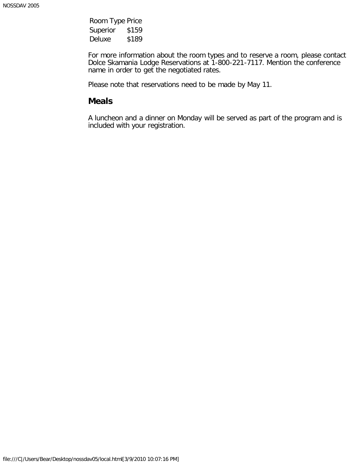Room Type Price Superior \$159 Deluxe \$189

For more information about the room types and to reserve a room, please contact Dolce Skamania Lodge Reservations at 1-800-221-7117. Mention the conference name in order to get the negotiated rates.

Please note that reservations need to be made by May 11.

#### **Meals**

A luncheon and a dinner on Monday will be served as part of the program and is included with your registration.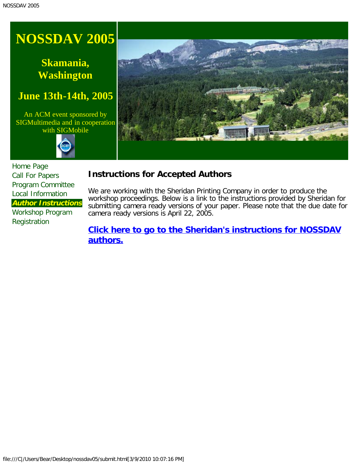# <span id="page-6-0"></span>**Skamania, Washington**

## **June 13th-14th, 2005**

An ACM event sponsored by SIGMultimedia and in cooperation with SIGMobile





[Home Page](#page-0-0) [Call For Papers](#page-1-0) [Program Committee](#page-3-0) [Local Information](#page-4-0) **Author Instructions** [Workshop Program](#page-7-0) [Registration](javascript:if(confirm()

### **Instructions for Accepted Authors**

We are working with the Sheridan Printing Company in order to produce the workshop proceedings. Below is a link to the instructions provided by Sheridan for submitting camera ready versions of your paper. Please note that the due date for camera ready versions is April 22, 2005.

**[Click here to go to the Sheridan's instructions for NOSSDAV](javascript:if(confirm() [authors.](javascript:if(confirm()**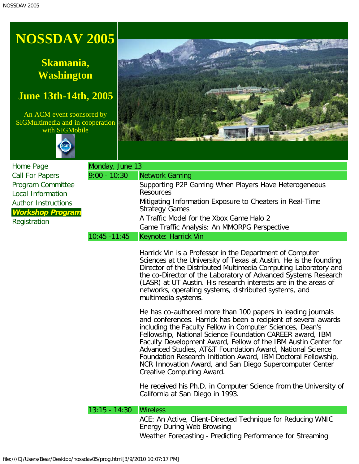# <span id="page-7-0"></span>**Skamania, Washington**

## **June 13th-14th, 2005**

An ACM event sponsored by SIGMultimedia and in cooperation with SIGMobile





| Home Page                                     | Monday, June 13 |                                                                           |
|-----------------------------------------------|-----------------|---------------------------------------------------------------------------|
| <b>Call For Papers</b>                        | $9:00 - 10:30$  | Network Gaming                                                            |
| Program Committee<br><b>Local Information</b> |                 | Supporting P2P Gaming When Players Have Heterogeneous<br><b>Resources</b> |
| <b>Author Instructions</b>                    |                 | Mitigating Information Exposure to Cheaters in Real-Time                  |
| <b>Workshop Program</b>                       |                 | <b>Strategy Games</b>                                                     |
| Registration                                  |                 | A Traffic Model for the Xbox Game Halo 2                                  |
|                                               |                 | Game Traffic Analysis: An MMORPG Perspective                              |
|                                               | $10:45 - 11:45$ | Keynote: Harrick Vin                                                      |

Harrick Vin is a Professor in the Department of Computer Sciences at the University of Texas at Austin. He is the founding Director of the Distributed Multimedia Computing Laboratory and the co-Director of the Laboratory of Advanced Systems Research (LASR) at UT Austin. His research interests are in the areas of networks, operating systems, distributed systems, and multimedia systems.

He has co-authored more than 100 papers in leading journals and conferences. Harrick has been a recipient of several awards including the Faculty Fellow in Computer Sciences, Dean's Fellowship, National Science Foundation CAREER award, IBM Faculty Development Award, Fellow of the IBM Austin Center for Advanced Studies, AT&T Foundation Award, National Science Foundation Research Initiation Award, IBM Doctoral Fellowship, NCR Innovation Award, and San Diego Supercomputer Center Creative Computing Award.

He received his Ph.D. in Computer Science from the University of California at San Diego in 1993.

#### 13:15 - 14:30 Wireless

ACE: An Active, Client-Directed Technique for Reducing WNIC Energy During Web Browsing Weather Forecasting - Predicting Performance for Streaming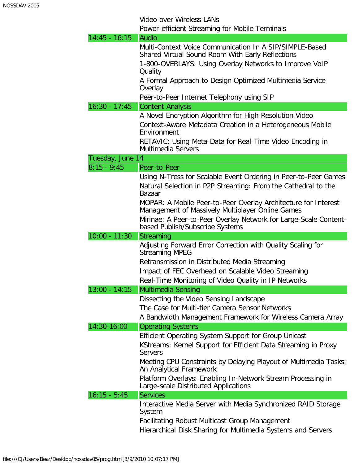Video over Wireless LANs

Power-efficient Streaming for Mobile Terminals

| $14:45 - 16:15$  | Audio                                                                                                                                                                                       |
|------------------|---------------------------------------------------------------------------------------------------------------------------------------------------------------------------------------------|
|                  | Multi-Context Voice Communication In A SIP/SIMPLE-Based                                                                                                                                     |
|                  | Shared Virtual Sound Room With Early Reflections                                                                                                                                            |
|                  | 1-800-OVERLAYS: Using Overlay Networks to Improve VoIP<br>Quality                                                                                                                           |
|                  | A Formal Approach to Design Optimized Multimedia Service<br>Overlay                                                                                                                         |
|                  | Peer-to-Peer Internet Telephony using SIP                                                                                                                                                   |
| $16:30 - 17:45$  | <b>Content Analysis</b>                                                                                                                                                                     |
|                  | A Novel Encryption Algorithm for High Resolution Video                                                                                                                                      |
|                  | Context-Aware Metadata Creation in a Heterogeneous Mobile<br>Environment                                                                                                                    |
|                  | RETAVIC: Using Meta-Data for Real-Time Video Encoding in<br>Multimedia Servers                                                                                                              |
| Tuesday, June 14 |                                                                                                                                                                                             |
| $8:15 - 9:45$    | Peer-to-Peer                                                                                                                                                                                |
|                  | Using N-Tress for Scalable Event Ordering in Peer-to-Peer Games<br>Natural Selection in P2P Streaming: From the Cathedral to the<br><b>Bazaar</b>                                           |
|                  | MOPAR: A Mobile Peer-to-Peer Overlay Architecture for Interest<br>Management of Massively Multiplayer Online Games                                                                          |
|                  | Mirinae: A Peer-to-Peer Overlay Network for Large-Scale Content-<br>based Publish/Subscribe Systems                                                                                         |
|                  |                                                                                                                                                                                             |
| $10:00 - 11:30$  | <b>Streaming</b>                                                                                                                                                                            |
|                  | Adjusting Forward Error Correction with Quality Scaling for<br><b>Streaming MPEG</b><br>Retransmission in Distributed Media Streaming<br>Impact of FEC Overhead on Scalable Video Streaming |
| $13:00 - 14:15$  | Real-Time Monitoring of Video Quality in IP Networks                                                                                                                                        |
|                  | Multimedia Sensing<br>Dissecting the Video Sensing Landscape<br>The Case for Multi-tier Camera Sensor Networks<br>A Bandwidth Management Framework for Wireless Camera Array                |
| 14:30-16:00      | <b>Operating Systems</b>                                                                                                                                                                    |
|                  | Efficient Operating System Support for Group Unicast<br>KStreams: Kernel Support for Efficient Data Streaming in Proxy<br><b>Servers</b>                                                    |
|                  | Meeting CPU Constraints by Delaying Playout of Multimedia Tasks:<br>An Analytical Framework                                                                                                 |
|                  | Platform Overlays: Enabling In-Network Stream Processing in<br>Large-scale Distributed Applications                                                                                         |
| $16:15 - 5:45$   | <b>Services</b>                                                                                                                                                                             |
|                  | Interactive Media Server with Media Synchronized RAID Storage<br>System<br><b>Facilitating Robust Multicast Group Management</b>                                                            |